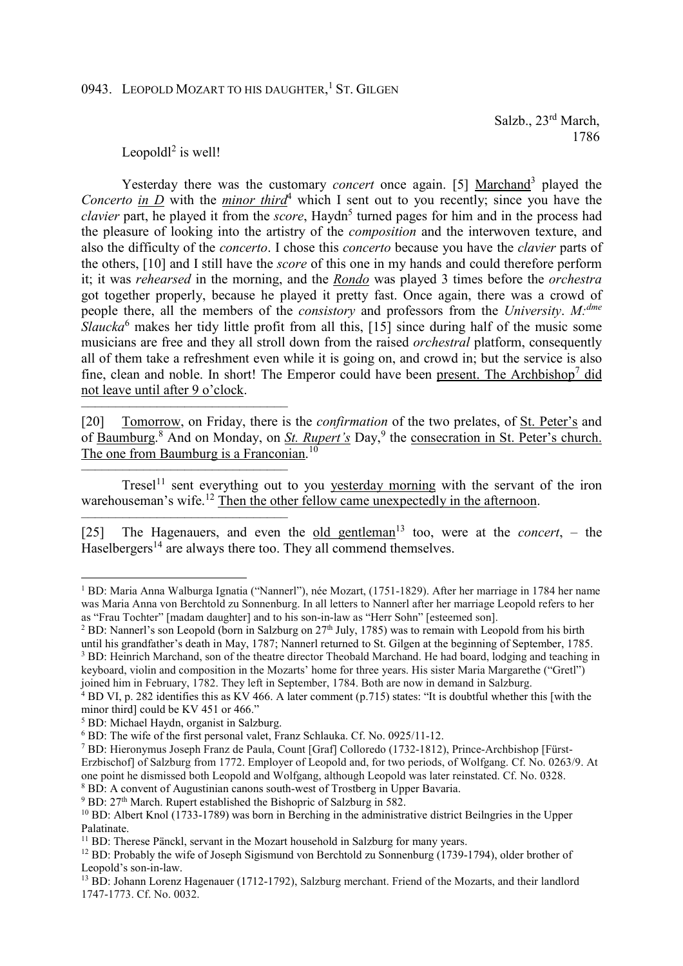## 0943. LEOPOLD MOZART TO HIS DAUGHTER,<sup>1</sup> ST. GILGEN

 Salzb., 23rd March, 1786

## Leopold $l^2$  is well!

––––––––––––––––––––––––––––––

––––––––––––––––––––––––––––––

––––––––––––––––––––––––––––––

 $\overline{a}$ 

Yesterday there was the customary *concert* once again. [5] Marchand<sup>3</sup> played the *Concerto in*  $\overline{D}$  with the *minor third*<sup>4</sup> which I sent out to you recently; since you have the clavier part, he played it from the *score*, Haydn<sup>5</sup> turned pages for him and in the process had the pleasure of looking into the artistry of the *composition* and the interwoven texture, and also the difficulty of the *concerto*. I chose this *concerto* because you have the *clavier* parts of the others, [10] and I still have the *score* of this one in my hands and could therefore perform it; it was *rehearsed* in the morning, and the *Rondo* was played 3 times before the *orchestra* got together properly, because he played it pretty fast. Once again, there was a crowd of people there, all the members of the *consistory* and professors from the *University*. *M:dme* Slaucka<sup>6</sup> makes her tidy little profit from all this, [15] since during half of the music some musicians are free and they all stroll down from the raised *orchestral* platform, consequently all of them take a refreshment even while it is going on, and crowd in; but the service is also fine, clean and noble. In short! The Emperor could have been present. The Archbishop<sup>7</sup> did not leave until after 9 o'clock.

[20] Tomorrow, on Friday, there is the *confirmation* of the two prelates, of St. Peter's and of Baumburg.<sup>8</sup> And on Monday, on *St. Rupert's* Day,<sup>9</sup> the consecration in St. Peter's church. The one from Baumburg is a Franconian.<sup>10</sup>

Tresel<sup>11</sup> sent everything out to you yesterday morning with the servant of the iron warehouseman's wife.<sup>12</sup> Then the other fellow came unexpectedly in the afternoon.

[25] The Hagenauers, and even the <u>old gentleman</u><sup>13</sup> too, were at the *concert*,  $-$  the Haselbergers<sup>14</sup> are always there too. They all commend themselves.

<sup>2</sup> BD: Nannerl's son Leopold (born in Salzburg on 27<sup>th</sup> July, 1785) was to remain with Leopold from his birth until his grandfather's death in May, 1787; Nannerl returned to St. Gilgen at the beginning of September, 1785. <sup>3</sup> BD: Heinrich Marchand, son of the theatre director Theobald Marchand. He had board, lodging and teaching in keyboard, violin and composition in the Mozarts' home for three years. His sister Maria Margarethe ("Gretl") joined him in February, 1782. They left in September, 1784. Both are now in demand in Salzburg.

<sup>&</sup>lt;sup>1</sup> BD: Maria Anna Walburga Ignatia ("Nannerl"), née Mozart, (1751-1829). After her marriage in 1784 her name was Maria Anna von Berchtold zu Sonnenburg. In all letters to Nannerl after her marriage Leopold refers to her as "Frau Tochter" [madam daughter] and to his son-in-law as "Herr Sohn" [esteemed son].

<sup>&</sup>lt;sup>4</sup> BD VI, p. 282 identifies this as KV 466. A later comment (p.715) states: "It is doubtful whether this [with the minor third] could be KV 451 or 466."

<sup>5</sup> BD: Michael Haydn, organist in Salzburg.

<sup>6</sup> BD: The wife of the first personal valet, Franz Schlauka. Cf. No. 0925/11-12.

<sup>7</sup> BD: Hieronymus Joseph Franz de Paula, Count [Graf] Colloredo (1732-1812), Prince-Archbishop [Fürst-Erzbischof] of Salzburg from 1772. Employer of Leopold and, for two periods, of Wolfgang. Cf. No. 0263/9. At one point he dismissed both Leopold and Wolfgang, although Leopold was later reinstated. Cf. No. 0328. <sup>8</sup> BD: A convent of Augustinian canons south-west of Trostberg in Upper Bavaria.

<sup>&</sup>lt;sup>9</sup> BD: 27<sup>th</sup> March. Rupert established the Bishopric of Salzburg in 582.

<sup>&</sup>lt;sup>10</sup> BD: Albert Knol (1733-1789) was born in Berching in the administrative district Beilngries in the Upper Palatinate.

<sup>&</sup>lt;sup>11</sup> BD: Therese Pänckl, servant in the Mozart household in Salzburg for many years.

<sup>&</sup>lt;sup>12</sup> BD: Probably the wife of Joseph Sigismund von Berchtold zu Sonnenburg (1739-1794), older brother of Leopold's son-in-law.

<sup>&</sup>lt;sup>13</sup> BD: Johann Lorenz Hagenauer (1712-1792), Salzburg merchant. Friend of the Mozarts, and their landlord 1747-1773. Cf. No. 0032.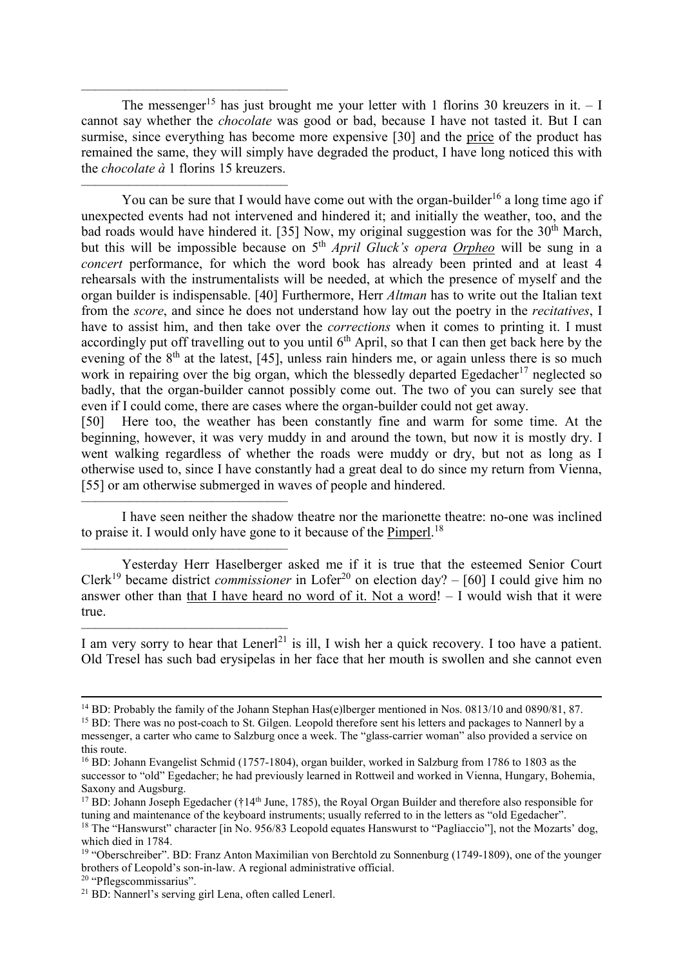The messenger<sup>15</sup> has just brought me your letter with 1 florins 30 kreuzers in it.  $-1$ cannot say whether the *chocolate* was good or bad, because I have not tasted it. But I can surmise, since everything has become more expensive [30] and the price of the product has remained the same, they will simply have degraded the product, I have long noticed this with the *chocolate à* 1 florins 15 kreuzers.

––––––––––––––––––––––––––––––

––––––––––––––––––––––––––––––

––––––––––––––––––––––––––––––

––––––––––––––––––––––––––––––

You can be sure that I would have come out with the organ-builder<sup>16</sup> a long time ago if unexpected events had not intervened and hindered it; and initially the weather, too, and the bad roads would have hindered it. [35] Now, my original suggestion was for the  $30<sup>th</sup>$  March, but this will be impossible because on 5th *April Gluck's opera Orpheo* will be sung in a *concert* performance, for which the word book has already been printed and at least 4 rehearsals with the instrumentalists will be needed, at which the presence of myself and the organ builder is indispensable. [40] Furthermore, Herr *Altman* has to write out the Italian text from the *score*, and since he does not understand how lay out the poetry in the *recitatives*, I have to assist him, and then take over the *corrections* when it comes to printing it. I must accordingly put off travelling out to you until  $6<sup>th</sup>$  April, so that I can then get back here by the evening of the  $8<sup>th</sup>$  at the latest, [45], unless rain hinders me, or again unless there is so much work in repairing over the big organ, which the blessedly departed Egedacher<sup>17</sup> neglected so badly, that the organ-builder cannot possibly come out. The two of you can surely see that even if I could come, there are cases where the organ-builder could not get away.

[50] Here too, the weather has been constantly fine and warm for some time. At the beginning, however, it was very muddy in and around the town, but now it is mostly dry. I went walking regardless of whether the roads were muddy or dry, but not as long as I otherwise used to, since I have constantly had a great deal to do since my return from Vienna, [55] or am otherwise submerged in waves of people and hindered.

I have seen neither the shadow theatre nor the marionette theatre: no-one was inclined to praise it. I would only have gone to it because of the **Pimperl**.<sup>18</sup>

Yesterday Herr Haselberger asked me if it is true that the esteemed Senior Court Clerk<sup>19</sup> became district *commissioner* in Lofer<sup>20</sup> on election day? – [60] I could give him no answer other than that I have heard no word of it. Not a word! – I would wish that it were true.

–––––––––––––––––––––––––––––– I am very sorry to hear that Lenerl<sup>21</sup> is ill, I wish her a quick recovery. I too have a patient. Old Tresel has such bad erysipelas in her face that her mouth is swollen and she cannot even

 $\overline{a}$ 

<sup>&</sup>lt;sup>14</sup> BD: Probably the family of the Johann Stephan Has(e)lberger mentioned in Nos. 0813/10 and 0890/81, 87.

<sup>15</sup> BD: There was no post-coach to St. Gilgen. Leopold therefore sent his letters and packages to Nannerl by a messenger, a carter who came to Salzburg once a week. The "glass-carrier woman" also provided a service on this route.

<sup>&</sup>lt;sup>16</sup> BD: Johann Evangelist Schmid (1757-1804), organ builder, worked in Salzburg from 1786 to 1803 as the successor to "old" Egedacher; he had previously learned in Rottweil and worked in Vienna, Hungary, Bohemia, Saxony and Augsburg.

<sup>&</sup>lt;sup>17</sup> BD: Johann Joseph Egedacher (†14<sup>th</sup> June, 1785), the Royal Organ Builder and therefore also responsible for tuning and maintenance of the keyboard instruments; usually referred to in the letters as "old Egedacher". <sup>18</sup> The "Hanswurst" character [in No. 956/83 Leopold equates Hanswurst to "Pagliaccio"], not the Mozarts' dog, which died in 1784.

<sup>&</sup>lt;sup>19</sup> "Oberschreiber". BD: Franz Anton Maximilian von Berchtold zu Sonnenburg (1749-1809), one of the younger brothers of Leopold's son-in-law. A regional administrative official.

<sup>20</sup> "Pflegscommissarius".

<sup>21</sup> BD: Nannerl's serving girl Lena, often called Lenerl.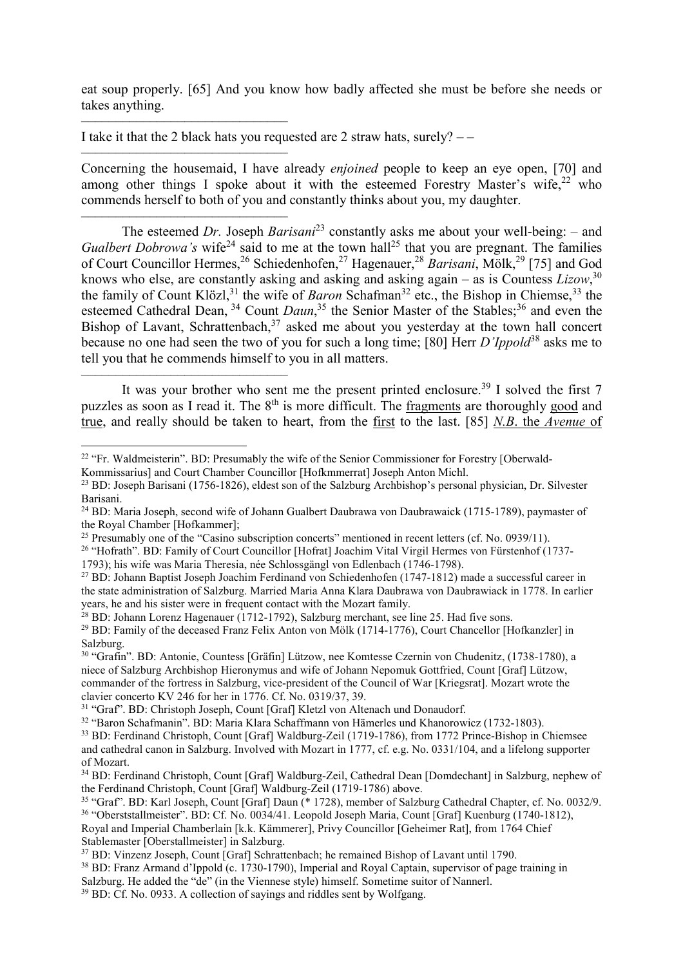eat soup properly. [65] And you know how badly affected she must be before she needs or takes anything.

I take it that the 2 black hats you requested are 2 straw hats, surely?  $--$ 

––––––––––––––––––––––––––––––

––––––––––––––––––––––––––––––

 $\overline{a}$ 

–––––––––––––––––––––––––––––– Concerning the housemaid, I have already *enjoined* people to keep an eye open, [70] and among other things I spoke about it with the esteemed Forestry Master's wife,  $22$  who commends herself to both of you and constantly thinks about you, my daughter.

–––––––––––––––––––––––––––––– The esteemed *Dr.* Joseph *Barisani*<sup>23</sup> constantly asks me about your well-being: – and *Gualbert Dobrowa's* wife<sup>24</sup> said to me at the town hall<sup>25</sup> that you are pregnant. The families of Court Councillor Hermes,<sup>26</sup> Schiedenhofen,<sup>27</sup> Hagenauer,<sup>28</sup> *Barisani*, Mölk,<sup>29</sup> [75] and God knows who else, are constantly asking and asking and asking again – as is Countess *Lizow*, 30 the family of Count Klözl,<sup>31</sup> the wife of *Baron* Schafman<sup>32</sup> etc., the Bishop in Chiemse,<sup>33</sup> the esteemed Cathedral Dean, <sup>34</sup> Count *Daun*,<sup>35</sup> the Senior Master of the Stables;<sup>36</sup> and even the Bishop of Lavant, Schrattenbach, $37$  asked me about you yesterday at the town hall concert because no one had seen the two of you for such a long time; [80] Herr *D'Ippold*<sup>38</sup> asks me to tell you that he commends himself to you in all matters.

It was your brother who sent me the present printed enclosure.<sup>39</sup> I solved the first  $7$ puzzles as soon as I read it. The 8<sup>th</sup> is more difficult. The fragments are thoroughly good and true, and really should be taken to heart, from the first to the last. [85] *N.B*. the *Avenue* of

<sup>&</sup>lt;sup>22</sup> "Fr. Waldmeisterin". BD: Presumably the wife of the Senior Commissioner for Forestry [Oberwald-Kommissarius] and Court Chamber Councillor [Hofkmmerrat] Joseph Anton Michl.

<sup>23</sup> BD: Joseph Barisani (1756-1826), eldest son of the Salzburg Archbishop's personal physician, Dr. Silvester Barisani.

<sup>24</sup> BD: Maria Joseph, second wife of Johann Gualbert Daubrawa von Daubrawaick (1715-1789), paymaster of the Royal Chamber [Hofkammer];

<sup>25</sup> Presumably one of the "Casino subscription concerts" mentioned in recent letters (cf. No. 0939/11).

<sup>26</sup> "Hofrath". BD: Family of Court Councillor [Hofrat] Joachim Vital Virgil Hermes von Fürstenhof (1737- 1793); his wife was Maria Theresia, née Schlossgängl von Edlenbach (1746-1798).

<sup>27</sup> BD: Johann Baptist Joseph Joachim Ferdinand von Schiedenhofen (1747-1812) made a successful career in the state administration of Salzburg. Married Maria Anna Klara Daubrawa von Daubrawiack in 1778. In earlier years, he and his sister were in frequent contact with the Mozart family.

<sup>&</sup>lt;sup>28</sup> BD: Johann Lorenz Hagenauer (1712-1792), Salzburg merchant, see line 25. Had five sons.

<sup>&</sup>lt;sup>29</sup> BD: Family of the deceased Franz Felix Anton von Mölk (1714-1776), Court Chancellor [Hofkanzler] in Salzburg.

<sup>30</sup> "Grafin". BD: Antonie, Countess [Gräfin] Lützow, nee Komtesse Czernin von Chudenitz, (1738-1780), a niece of Salzburg Archbishop Hieronymus and wife of Johann Nepomuk Gottfried, Count [Graf] Lützow, commander of the fortress in Salzburg, vice-president of the Council of War [Kriegsrat]. Mozart wrote the clavier concerto KV 246 for her in 1776. Cf. No. 0319/37, 39.

<sup>31</sup> "Graf". BD: Christoph Joseph, Count [Graf] Kletzl von Altenach und Donaudorf.

<sup>32</sup> "Baron Schafmanin". BD: Maria Klara Schaffmann von Hämerles und Khanorowicz (1732-1803).

<sup>33</sup> BD: Ferdinand Christoph, Count [Graf] Waldburg-Zeil (1719-1786), from 1772 Prince-Bishop in Chiemsee and cathedral canon in Salzburg. Involved with Mozart in 1777, cf. e.g. No. 0331/104, and a lifelong supporter of Mozart.

<sup>34</sup> BD: Ferdinand Christoph, Count [Graf] Waldburg-Zeil, Cathedral Dean [Domdechant] in Salzburg, nephew of the Ferdinand Christoph, Count [Graf] Waldburg-Zeil (1719-1786) above.

<sup>35</sup> "Graf". BD: Karl Joseph, Count [Graf] Daun (\* 1728), member of Salzburg Cathedral Chapter, cf. No. 0032/9. <sup>36</sup> "Oberststallmeister". BD: Cf. No. 0034/41. Leopold Joseph Maria, Count [Graf] Kuenburg (1740-1812),

Royal and Imperial Chamberlain [k.k. Kämmerer], Privy Councillor [Geheimer Rat], from 1764 Chief Stablemaster [Oberstallmeister] in Salzburg.

<sup>37</sup> BD: Vinzenz Joseph, Count [Graf] Schrattenbach; he remained Bishop of Lavant until 1790.

<sup>38</sup> BD: Franz Armand d'Ippold (c. 1730-1790), Imperial and Royal Captain, supervisor of page training in

Salzburg. He added the "de" (in the Viennese style) himself. Sometime suitor of Nannerl.

<sup>&</sup>lt;sup>39</sup> BD: Cf. No. 0933. A collection of sayings and riddles sent by Wolfgang.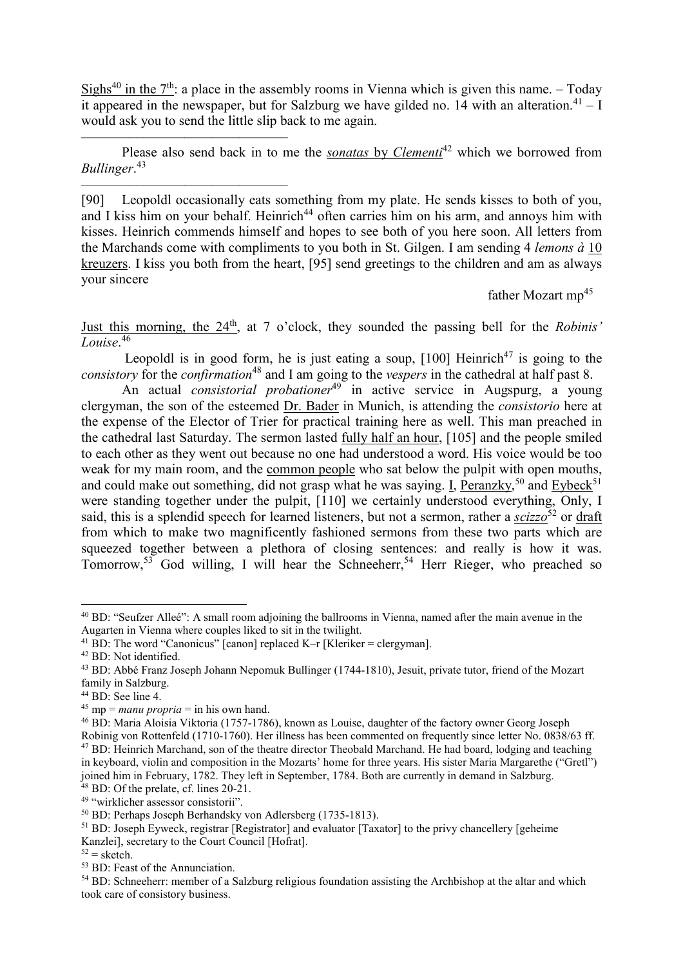Sighs<sup>40</sup> in the  $7<sup>th</sup>$ : a place in the assembly rooms in Vienna which is given this name. – Today it appeared in the newspaper, but for Salzburg we have gilded no. 14 with an alteration.<sup>41</sup> – I would ask you to send the little slip back to me again.

Please also send back in to me the *sonatas* by *Clementi*<sup>42</sup> which we borrowed from *Bullinger*. 43

[90] Leopoldl occasionally eats something from my plate. He sends kisses to both of you, and I kiss him on your behalf. Heinrich<sup>44</sup> often carries him on his arm, and annoys him with kisses. Heinrich commends himself and hopes to see both of you here soon. All letters from the Marchands come with compliments to you both in St. Gilgen. I am sending 4 *lemons à* 10 kreuzers. I kiss you both from the heart, [95] send greetings to the children and am as always your sincere

father Mozart mp<sup>45</sup>

Just this morning, the 24th, at 7 o'clock, they sounded the passing bell for the *Robinis' Louise*. 46

Leopoldl is in good form, he is just eating a soup,  $[100]$  Heinrich<sup>47</sup> is going to the *consistory* for the *confirmation*<sup>48</sup> and I am going to the *vespers* in the cathedral at half past 8.

An actual *consistorial probationer*<sup>49</sup> in active service in Augspurg, a young clergyman, the son of the esteemed Dr. Bader in Munich, is attending the *consistorio* here at the expense of the Elector of Trier for practical training here as well. This man preached in the cathedral last Saturday. The sermon lasted fully half an hour, [105] and the people smiled to each other as they went out because no one had understood a word. His voice would be too weak for my main room, and the common people who sat below the pulpit with open mouths, and could make out something, did not grasp what he was saying. I, Peranzky,<sup>50</sup> and Eybeck<sup>51</sup> were standing together under the pulpit, [110] we certainly understood everything, Only, I said, this is a splendid speech for learned listeners, but not a sermon, rather a *scizzo*<sup>52</sup> or draft from which to make two magnificently fashioned sermons from these two parts which are squeezed together between a plethora of closing sentences: and really is how it was.  $Tomorrow,$ <sup>53</sup> God willing, I will hear the Schneeherr,<sup>54</sup> Herr Rieger, who preached so

 $\overline{a}$ 

––––––––––––––––––––––––––––––

––––––––––––––––––––––––––––––

<sup>40</sup> BD: "Seufzer Alleé": A small room adjoining the ballrooms in Vienna, named after the main avenue in the Augarten in Vienna where couples liked to sit in the twilight.

<sup>&</sup>lt;sup>41</sup> BD: The word "Canonicus" [canon] replaced K–r [Kleriker = clergyman].

<sup>42</sup> BD: Not identified.

<sup>43</sup> BD: Abbé Franz Joseph Johann Nepomuk Bullinger (1744-1810), Jesuit, private tutor, friend of the Mozart family in Salzburg.

<sup>&</sup>lt;sup>44</sup> BD: See line 4.

<sup>&</sup>lt;sup>45</sup> mp = *manu propria* = in his own hand.

<sup>46</sup> BD: Maria Aloisia Viktoria (1757-1786), known as Louise, daughter of the factory owner Georg Joseph Robinig von Rottenfeld (1710-1760). Her illness has been commented on frequently since letter No. 0838/63 ff. <sup>47</sup> BD: Heinrich Marchand, son of the theatre director Theobald Marchand. He had board, lodging and teaching in keyboard, violin and composition in the Mozarts' home for three years. His sister Maria Margarethe ("Gretl") joined him in February, 1782. They left in September, 1784. Both are currently in demand in Salzburg.

<sup>48</sup> BD: Of the prelate, cf. lines 20-21.

<sup>49</sup> "wirklicher assessor consistorii".

<sup>50</sup> BD: Perhaps Joseph Berhandsky von Adlersberg (1735-1813).

<sup>&</sup>lt;sup>51</sup> BD: Joseph Eyweck, registrar [Registrator] and evaluator [Taxator] to the privy chancellery [geheime] Kanzlei], secretary to the Court Council [Hofrat].

 $52 =$  sketch.

<sup>53</sup> BD: Feast of the Annunciation.

<sup>54</sup> BD: Schneeherr: member of a Salzburg religious foundation assisting the Archbishop at the altar and which took care of consistory business.